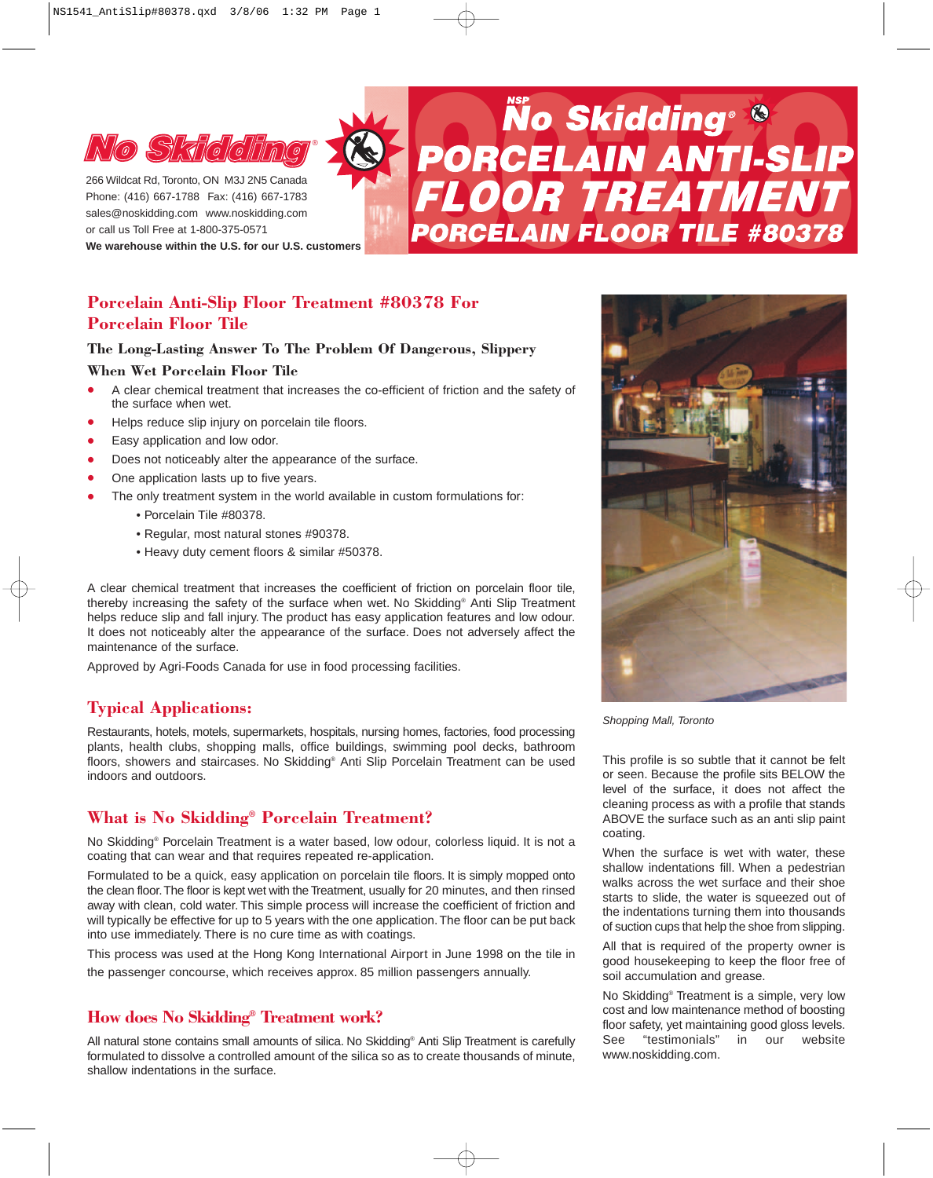

**No State of The ATMENT**<br>
PORCELAIN ANTI-SLIP<br>
BORCELAIN ANTI-SLIP<br>
BORCELAIN FREATMENT Phone: (416) 667-1788 Fax: (416) 667-1783 sales@noskidding.com www.noskidding.com or call us Toll Free at 1-800-375-0571

**We warehouse within the U.S. for our U.S. customers**

# **Porcelain Anti-Slip Floor Treatment #80378 For Porcelain Floor Tile**

## **The Long-Lasting Answer To The Problem Of Dangerous, Slippery**

### **When Wet Porcelain Floor Tile**

- A clear chemical treatment that increases the co-efficient of friction and the safety of the surface when wet.
- Helps reduce slip injury on porcelain tile floors.
- Easy application and low odor.
- Does not noticeably alter the appearance of the surface.
- One application lasts up to five years.
	- The only treatment system in the world available in custom formulations for:
		- Porcelain Tile #80378.
		- Regular, most natural stones #90378.
		- Heavy duty cement floors & similar #50378.

A clear chemical treatment that increases the coefficient of friction on porcelain floor tile, thereby increasing the safety of the surface when wet. No Skidding® Anti Slip Treatment helps reduce slip and fall injury. The product has easy application features and low odour. It does not noticeably alter the appearance of the surface. Does not adversely affect the maintenance of the surface.

Approved by Agri-Foods Canada for use in food processing facilities.

# **Typical Applications:**

Restaurants, hotels, motels, supermarkets, hospitals, nursing homes, factories, food processing plants, health clubs, shopping malls, office buildings, swimming pool decks, bathroom floors, showers and staircases. No Skidding® Anti Slip Porcelain Treatment can be used indoors and outdoors.

# **What is No Skidding® Porcelain Treatment?**

No Skidding® Porcelain Treatment is a water based, low odour, colorless liquid. It is not a coating that can wear and that requires repeated re-application.

Formulated to be a quick, easy application on porcelain tile floors. It is simply mopped onto the clean floor.The floor is kept wet with the Treatment, usually for 20 minutes, and then rinsed away with clean, cold water. This simple process will increase the coefficient of friction and will typically be effective for up to 5 years with the one application. The floor can be put back into use immediately. There is no cure time as with coatings.

This process was used at the Hong Kong International Airport in June 1998 on the tile in the passenger concourse, which receives approx. 85 million passengers annually.

# **How does No Skidding® Treatment work?**

All natural stone contains small amounts of silica. No Skidding® Anti Slip Treatment is carefully formulated to dissolve a controlled amount of the silica so as to create thousands of minute, shallow indentations in the surface.



*Shopping Mall, Toronto*

This profile is so subtle that it cannot be felt or seen. Because the profile sits BELOW the level of the surface, it does not affect the cleaning process as with a profile that stands ABOVE the surface such as an anti slip paint coating.

When the surface is wet with water, these shallow indentations fill. When a pedestrian walks across the wet surface and their shoe starts to slide, the water is squeezed out of the indentations turning them into thousands of suction cups that help the shoe from slipping.

All that is required of the property owner is good housekeeping to keep the floor free of soil accumulation and grease.

No Skidding® Treatment is a simple, very low cost and low maintenance method of boosting floor safety, yet maintaining good gloss levels.<br>See "testimonials" in our website See "testimonials" in our website www.noskidding.com.